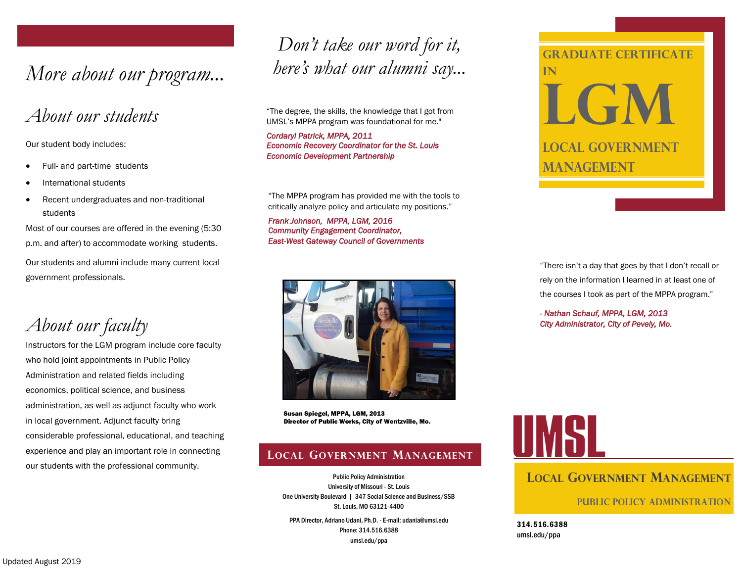*More about our program... here's what our alumni say...*

# *About our students*

Our student body includes:

- Full- and part-time students
- International students
- Recent undergraduates and non-traditional students

Most of our courses are offered in the evening (5:30 p.m. and after) to accommodate working students. Our students and alumni include many current local government professionals.

*About our faculty*

Instructors for the LGM program include core faculty who hold joint appointments in Public Policy Administration and related fields including economics, political science, and business administration, as well as adjunct faculty who work in local government. Adjunct faculty bring considerable professional, educational, and teaching experience and play an important role in connecting our students with the professional community.

# *Don't take our word for it,*

"The degree, the skills, the knowledge that I got from UMSL's MPPA program was foundational for me."

*Cordaryl Patrick, MPPA, 2011 Economic Recovery Coordinator for the St. Louis Economic Development Partnership* 

"The MPPA program has provided me with the tools to critically analyze policy and articulate my positions."

*Frank Johnson, MPPA, LGM, 2016 Community Engagement Coordinator, East-West Gateway Council of Governments* 



Susan Spiegel, MPPA, LGM, 2013 Director of Public Works, City of Wentzville, Mo.

## **LOCAL GOVERNMENT MANAGEMENT**

Public Policy Administration University of Missouri - St. Louis One University Boulevard | 347 Social Science and Business/SSB St. Louis, MO 63121-4400

PPA Director, Adriano Udani, Ph.D. - E-mail: udania@umsl.edu Phone: 314.516.6388 umsl.edu/ppa



"There isn't a day that goes by that I don't recall or rely on the information I learned in at least one of the courses I took as part of the MPPA program."

*- Nathan Schauf, MPPA, LGM, 2013 City Administrator, City of Pevely, Mo.* 



# **LOCAL GOVERNMENT MANAGEMENT**

**Public Policy Administration**

314.516.6388 umsl.edu/ppa